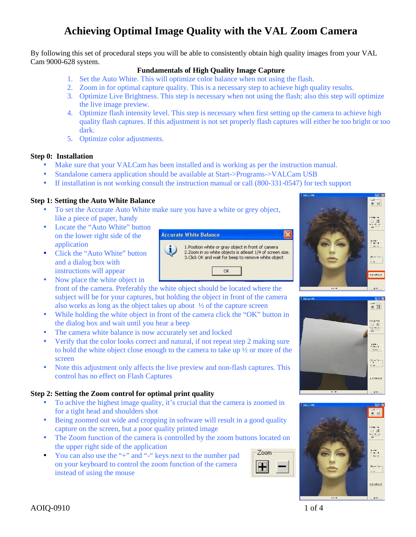## **Achieving Optimal Image Quality with the VAL Zoom Camera**

By following this set of procedural steps you will be able to consistently obtain high quality images from your VAL Cam 9000-628 system.

## **Fundamentals of High Quality Image Capture**

- 1. Set the Auto White. This will optimize color balance when not using the flash.
- 2. Zoom in for optimal capture quality. This is a necessary step to achieve high quality results.
- 3. Optimize Live Brightness. This step is necessary when not using the flash; also this step will optimize the live image preview.
- 4. Optimize flash intensity level. This step is necessary when first setting up the camera to achieve high quality flash captures. If this adjustment is not set properly flash captures will either be too bright or too dark.
- 5. Optimize color adjustments.

### **Step 0: Installation**

- Make sure that your VALCam has been installed and is working as per the instruction manual.
- Standalone camera application should be available at Start->Programs->VALCam USB
- If installation is not working consult the instruction manual or call (800-331-0547) for tech support

### **Step 1: Setting the Auto White Balance**

- To set the Accurate Auto White make sure you have a white or grey object, like a piece of paper, handy
- Locate the "Auto White" button<br>on the lower right side of the<br>**Accurate White Balance** on the lower right side of the application
- Click the "Auto White" button  $\begin{bmatrix} 1 \end{bmatrix}$ and a dialog box with instructions will appear
- Now place the white object in front of the camera. Preferably the white object should be located where the subject will be for your captures, but holding the object in front of the camera
	- also works as long as the object takes up about ½ of the capture screen
- While holding the white object in front of the camera click the "OK" button in the dialog box and wait until you hear a beep
- The camera white balance is now accurately set and locked
- Verify that the color looks correct and natural, if not repeat step 2 making sure to hold the white object close enough to the camera to take up ½ or more of the screen
- Note this adjustment only affects the live preview and non-flash captures. This control has no effect on Flash Captures

### **Step 2: Setting the Zoom control for optimal print quality**

- To achive the highest image quality, it's crucial that the camera is zoomed in for a tight head and shoulders shot
- Being zoomed out wide and cropping in software will result in a good quality capture on the screen, but a poor quality printed image
- The Zoom function of the camera is controlled by the zoom buttons located on the upper right side of the application
- You can also use the "+" and "-" keys next to the number pad  $\sqrt{2}$ <sup>200m</sup> on your keyboard to control the zoom function of the camera instead of using the mouse







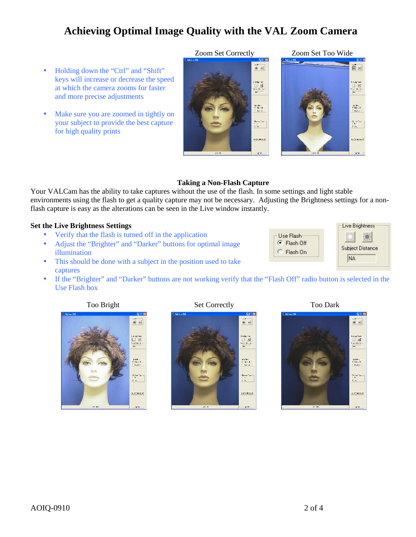## **Achieving Optimal Image Quality with the VAL Zoom Camera**

- Holding down the "Ctrl" and "Shift" keys will increase or decrease the speed at which the camera zooms for faster and more precise adjustments
- Make sure you are zoomed in tightly on your subject to provide the best capture for high quality prints





## **Taking a Non-Flash Capture**

Your VALCam has the ability to take captures without the use of the flash. In some settings and light stable environments using the flash to get a quality capture may not be necessary. Adjusting the Brightness settings for a nonflash capture is easy as the alterations can be seen in the Live window instantly.

## **Set the Live Brightness Settings**

- Verify that the flash is turned off in the application
- Adjust the "Brighter" and "Darker" buttons for optimal image illumination
- This should be done with a subject in the position used to take captures
- If the "Brighter" and "Darker" buttons are not working verify that the "Flash Off" radio button is selected in the Use Flash box





Use Flash

Flash Off

C Flash On

Live Brightness

**Subject Distance** 

NA

※



Zoom Set Correctly Zoom Set Too Wide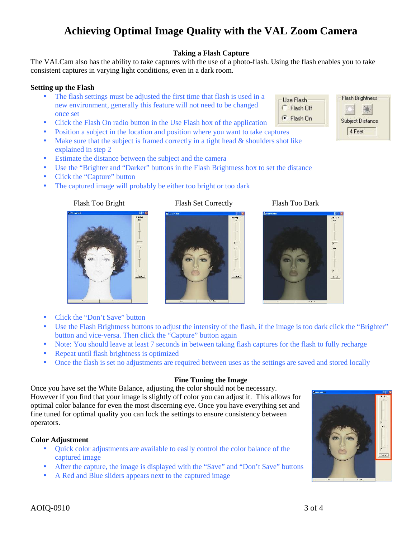## **Color Adjustment**

- Quick color adjustments are available to easily control the color balance of the captured image
- After the capture, the image is displayed with the "Save" and "Don't Save" buttons
- A Red and Blue sliders appears next to the captured image

## The VALCam also has the ability to take captures with the use of a photo-flash. Using the flash enables you to take consistent captures in varying light conditions, even in a dark room.

## **Setting up the Flash**

- The flash settings must be adjusted the first time that flash is used in a  $\overline{C}$  Use Flash new environment, generally this feature will not need to be changed  $\begin{array}{c} \begin{array}{|c} \hline \end{array}$ once set
- Click the Flash On radio button in the Use Flash box of the application
- Position a subject in the location and position where you want to take captures
- $\bullet$  Make sure that the subject is framed correctly in a tight head  $\&$  shoulders shot like explained in step 2
- Estimate the distance between the subject and the camera
- Use the "Brighter and "Darker" buttons in the Flash Brightness box to set the distance
- Click the "Capture" button
- The captured image will probably be either too bright or too dark

button and vice-versa. Then click the "Capture" button again

 $\overline{r}$ 

 $P_{M}$ 

• Repeat until flash brightness is optimized

• Click the "Don't Save" button

Flash Too Bright Flash Set Correctly Flash Too Dark



Use the Flash Brightness buttons to adjust the intensity of the flash, if the image is too dark click the "Brighter"

• Note: You should leave at least 7 seconds in between taking flash captures for the flash to fully recharge

• Once the flash is set no adjustments are required between uses as the settings are saved and stored locally

**Fine Tuning the Image**







# **Taking a Flash Capture**

**Achieving Optimal Image Quality with the VAL Zoom Camera**

AOIQ-0910 3 of 4

operators.